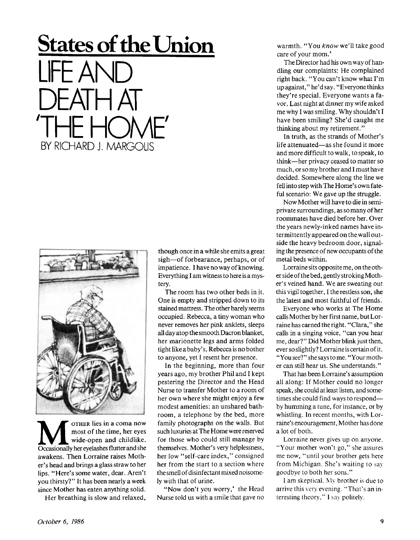## **States of the Union**  LIFE AND DEATH AT THE HOME' **BY RICHARD J. MARGOLIS**



**M M OCCAS CONDER OCCASTORY COCCASTORY OCCASTORY OCCASTORY OCCASTORY OCCASTORY OCCASTORY OCCASTORY OCCASTORY OCCASTORY OCCASTORY OCCASTORY OCCASTORY OCCASTORY OCCASTORY OCCASTORY OCCAS OTHER** lies in a coma now most of the time, her eyes wide-open and childlike. awakens. Then Lorraine raises Mother's head and brings a glass straw to her lips. "Here's some water, dear. Aren't you thirsty?" It has been nearly a week since Mother has eaten anything solid.

Her breathing is slow and relaxed,

though once in a while she emits a great sigh—of forbearance, perhaps, or of impatience. I have no way of knowing. Everything I am witness to here is a mystery.

The room has two other beds in it. One is empty and stripped down to its stained mattress. The other barely seems occupied. Rebecca, a tiny woman who never removes her pink anklets, sleeps all day atop the smooth Dacron blanket, her marionette legs and arms folded tight like a baby's. Rebecca is no bother to anyone, yet I resent her presence.

In the beginning, more than four years ago, my brother Phil and I kept pestering the Director and the Head Nurse to transfer Mother to a room of her own where she might enjoy a few modest amenities: an unshared bathroom, a telephone by the bed, more family photographs on the walls. But such luxuries at The Home were reserved for those who could still manage by themselves. Mother's very helplessness, her low "self-care index," consigned her from the start to a section where the smell of disinfectant mixed noisomely with that of urine.

"Now don't you worry,' the Head Nurse told us with a smile that gave no warmth. "You *know* we'll take good care of your mom.'

The Director had his own way of handling our complaints: He complained right back. "You can't know what I'm up against," he'dsay. "Everyone thinks they're special. Everyone wants a favor. Last night at dinner my wife asked me why I was smiling. Why shouldn't I have been smiling? She'd caught me thinking about my retirement."

In truth, as the strands of Mother's life attenuated—as she found it more and more difficult to walk, to speak, to think—her privacy ceased to matter so much, or so my brother and I must have decided. Somewhere along the line we fell into step with The Home's own fateful scenario: We gave up the struggle.

Now Mother will have to die in semiprivate surroundings, as so many of her roommates have died before her. Over the years newly-inked names have intermittently appeared on the wall outside the heavy bedroom door, signaling the presence of new occupants of the metal beds within.

Lorraine sits opposite me, on the other side of the bed, gently stroking Mother's veined hand. We are sweating out this vigil together, I the restless son, she the latest and most faithful of friends.

Everyone who works at The Home calls Mother by her first name, but Lorraine has earned the right. "Clara," she calls in a singing voice, "can you hear me, dear?" Did Mother blink just then, ever so slightly? Lorraine is certain of it. "Yousee?" shesaystome. "Yourmother can still hear us. She understands."

That has been Lorraine's assumption all along: If Mother could no longer speak, she could at least listen, and sometimes she could find ways to respond by humming a tune, for instance, or by whistling. In recent months, with Lorraine's encouragement, Mother has done a lot of both.

Lorraine never gives up on anyone. "Your mother won't go," she assures me now, "until your brother gets here from Michigan. She's waiting to say goodbye to both her sons."

I am skeptical. My brother is due to arrive this very evening. "That's an interesting theory," 1 say politely.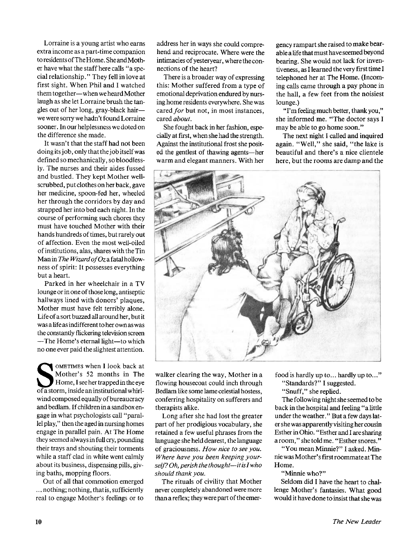Lorraine is a young artist who earns extra income as a part-time companion to residents of The Home. She and Mother have what the staff here calls "a special relationship." They fell in love at first sight. When Phil and I watched them together—when we heard Mother laugh as she let Lorraine brush the tangles out of her long, gray-black hair we were sorry we hadn't found Lorraine sooner. In our helplessness we doted on the difference she made.

It wasn't that the staff had not been doing its job, only that the job itself was defined so mechanically, so bloodlessly. The nurses and their aides fussed and bustled. They kept Mother wellscrubbed, put clothes on her back, gave her medicine, spoon-fed her, wheeled her through the corridors by day and strapped her into bed each night. In the course of performing such chores they must have touched Mother with their hands hundreds of times, but rarely out of affection. Even the most well-oiled of institutions, alas, shares with the Tin Man in *The Wizard ofOza* fatal hollowness of spirit: It possesses everything but a heart.

Parked in her wheelchair in a TV lounge or in one of those long, antiseptic hallways lined with donors' plaques, Mother must have felt terribly alone. Life of a sort buzzed all around her, but it was a life as indifferent to her own as was the constantly flickering television screen —The Home's eternal light—to which no one ever paid the slightest attention.

**SPONGETIMES When I look back at Mother's 52 months in The Home, I see her trapped in the eye of a storm, inside an institutional whirl-OMETIMES** when I look back at Mother's 52 months in The Home, I see her trapped in the eye wind composed equally of bureaucracy and bedlam. If children in a sandbox engage in what psychologists call "parallel play," then the aged in nursing homes engage in parallel pain. At The Home they seemed always in full cry, pounding their trays and shouting their torments while a staff clad in white went calmly about its business, dispensing pills, giving baths, mopping floors.

Out of all that commotion emerged ... nothing; nothing, that is, sufficiently real to engage Mother's feelings or to

address her in ways she could comprehend and reciprocate. Where were the intimacies of yesteryear, where theconnections of the heart?

There is a broader way of expressing this: Mother suffered from a type of emotional deprivation endured by nursing home residents everywhere. She was cared *for* but not, in most instances, cared *about.* 

She fought back in her fashion, especially at first, when she had the strength. Against the institutional frost she posited the gentlest of thawing agents—her warm and elegant manners. With her gency rampart she raised to make bearable a life that must have seemed beyond bearing. She would not lack for inventiveness, as I learned the very first time I telephoned her at The Home. (Incoming calls came through a pay phone in the hall, a few feet from the noisiest lounge.)

"I'm feeling much better, thank you," she informed me. "The doctor says I may be able to go home soon."

The next night I called and inquired again. "Well," she said, "the lake is beautiful and there's a nice clientele here, but the rooms are damp and the



walker clearing the way, Mother in a flowing housecoat could inch through Bedlam like some lame celestial hostess, conferring hospitality on sufferers and therapists alike.

Long after she had lost the greater part of her prodigious vocabulary, she retained a few useful phrases from the language she held dearest, the language of graciousness. *How nice to see you. Where have you been keeping yourself? Oh, perish the thought—it is I who should thank you.* 

The rituals of civility that Mother never completely abandoned were more than a reflex; they were part of the emerfood is hardly up to... hardly up to..."

"Standards?" I suggested.

"Snuff," she replied.

The following night she seemed to be back in the hospital and feeling "a little under the weather." But a few days later she was apparently visiting her cousin Esther in Ohio. "Esther and I are sharing aroom, " shetoldme. "Esther snores."

"You mean Minnie?" I asked. Minnie was Mother's first roommate at The Home.

"Minnie who?"

Seldom did I have the heart to challenge Mother's fantasies. What good would it have done to insist that she was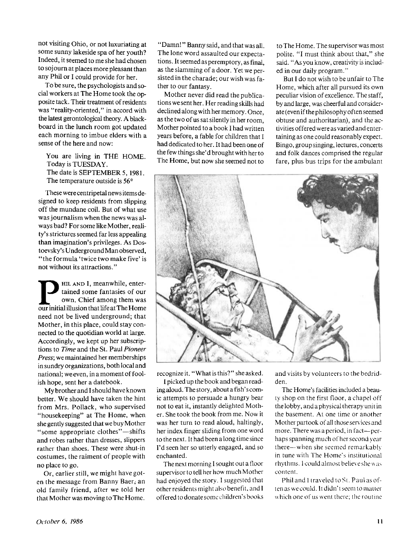not visiting Ohio, or not luxuriating at some sunny lakeside spa of her youth? Indeed, it seemed to me she had chosen to soj ourn at places more pleasant than any Phil or I could provide for her.

To be sure, the psychologists and social workers at The Home took the opposite tack. Their treatment of residents was "reality-oriented," in accord with the latest gerontological theory. A blackboard in the lunch room got updated each morning to imbue elders with a sense of the here and now:

You are living in THE HOME. Today is TUESDAY. The date is SEPTEMBER 5, 1981. The temperature outside is 56°

These were centripetal news items designed to keep residents from slipping off the mundane coil. But of what use was journalism when the news was always bad? For some like Mother, reality's strictures seemed far less appealing than imagination's privileges. As Dostoevsky's Underground Man observed, "the formula 'twice two make five' is not without its attractions."

FIL AND I, meanwhile, enter-<br>tained some fantasies of our<br>own. Chief among them was<br>our initial illusion that life at The Home **HIL AND** I, meanwhile, entertained some fantasies of our own. Chief among them was need not be lived underground; that Mother, in this place, could stay connected to the quotidian world at large. Accordingly, we kept up her subscriptions to *Time* and the St. Paul *Pioneer Press*; we maintained her memberships in sundry organizations, both local and national; we even, in a moment of foolish hope, sent her a datebook.

My brother and I should have known better. We should have taken the hint from Mrs. Pollack, who supervised "housekeeping" at The Home, when she gently suggested that we buy Mother "some appropriate clothes"—shifts and robes rather than dresses, slippers rather than shoes. These were shut-in costumes, the raiment of people with no place to go.

Or, earlier still, we might have goten the message from Banny Baer, an old family friend, after we told her that Mother was moving to The Home. " Damn!" Banny said, and that was all. The lone word assaulted our expectations . It seemed as peremptory, as final, as the slamming of a door. Yet we persisted in the charade; our wish was father to our fantasy.

Mother never did read the publications we sent her. Her reading skills had declined along with her memory. Once, as the two of us sat silently in her room, Mother pointed to a book I had written years before, a fable for children that I had dedicated to her. It had been one of the few things she'd brought with her to The Home, but now she seemed not to to The Home. The supervisor was most polite. "I must think about that," she said. "As you know, creativity is included in our daily program."

But I do not wish to be unfair to The Home, which after all pursued its own peculiar vision of excellence. The staff, by and large, was cheerful and considerate (even if the philosophy often seemed obtuse and authoritarian), and the activities offered were as varied and entertaining as one could reasonably expect. Bingo, group singing, lectures, concerts and folk dances comprised the regular fare, plus bus trips for the ambulant



recognize it. "What is this?" she asked.

I picked up the book and began reading aloud. The story, about a fish's comic attempts to persuade a hungry bear not to eat it, instantly delighted Mother. She took the book from me. Now it was her turn to read aloud, haltingly, her index finger sliding from one word to the next. It had been a long time since I'd seen her so utterly engaged, and so enchanted.

The next morning I sought out a floor supervisor to tell her how much Mother had enjoyed the story. I suggested that other residents might also benefit, and 1 offered to donate some children's books and visits by volunteers to the bedridden.

The Home's facilities included a beauty shop on the first floor, a chapel off the lobby, and a physical therapy unit in the basement. At one time or another Mother partook of all those services and more. There was a period, in fact—perhaps spanning much of her second year there—when she seemed remarkably in tune with The Home's institutional rhythms, i could almost believe shew as content.

Phil and 1 traveled to St. Paul as often as we could. It didn't seem to matter which one of us went there; the routine